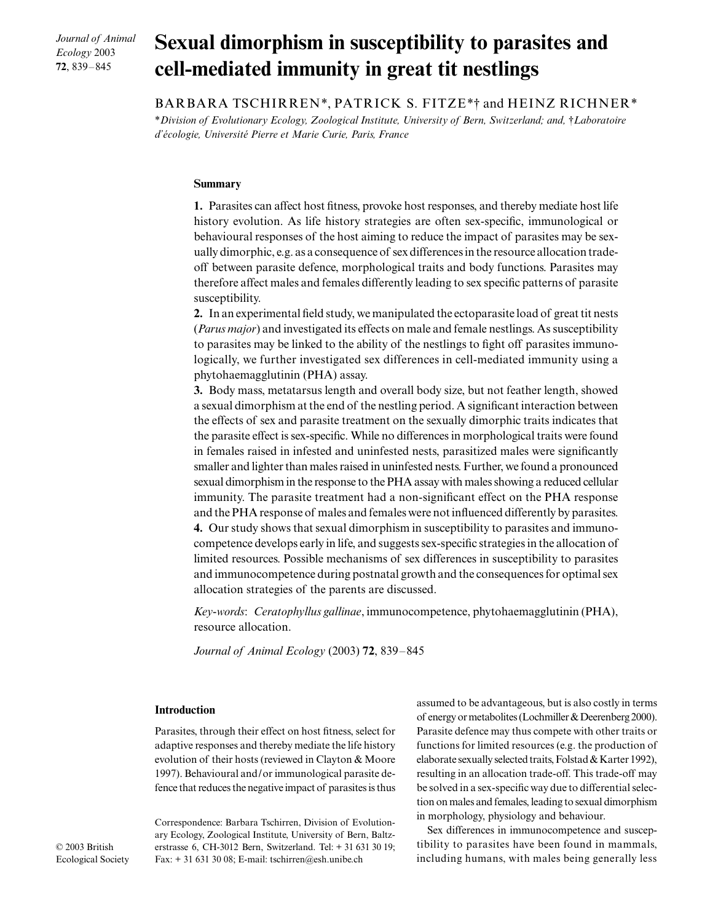*Journal of Animal Ecology* 2003 **72**, 839–845

# **Sexual dimorphism in susceptibility to parasites and cell-mediated immunity in great tit nestlings**

## BARBARA TSCHIRREN\*, PATRICK S. FITZE\*† and HEINZ RICHNER\*

\**Division of Evolutionary Ecology, Zoological Institute, University of Bern, Switzerland; and,* †*Laboratoire d'écologie, Université Pierre et Marie Curie, Paris, France* 

### **Summary**

**1.** Parasites can affect host fitness, provoke host responses, and thereby mediate host life history evolution. As life history strategies are often sex-specific, immunological or behavioural responses of the host aiming to reduce the impact of parasites may be sexually dimorphic, e.g. as a consequence of sex differences in the resource allocation tradeoff between parasite defence, morphological traits and body functions. Parasites may therefore affect males and females differently leading to sex specific patterns of parasite susceptibility.

**2.** In an experimental field study, we manipulated the ectoparasite load of great tit nests (*Parus major*) and investigated its effects on male and female nestlings. As susceptibility to parasites may be linked to the ability of the nestlings to fight off parasites immunologically, we further investigated sex differences in cell-mediated immunity using a phytohaemagglutinin (PHA) assay.

**3.** Body mass, metatarsus length and overall body size, but not feather length, showed a sexual dimorphism at the end of the nestling period. A significant interaction between the effects of sex and parasite treatment on the sexually dimorphic traits indicates that the parasite effect is sex-specific. While no differences in morphological traits were found in females raised in infested and uninfested nests, parasitized males were significantly smaller and lighter than males raised in uninfested nests. Further, we found a pronounced sexual dimorphism in the response to the PHA assay with males showing a reduced cellular immunity. The parasite treatment had a non-significant effect on the PHA response and the PHA response of males and females were not influenced differently by parasites. **4.** Our study shows that sexual dimorphism in susceptibility to parasites and immunocompetence develops early in life, and suggests sex-specific strategies in the allocation of limited resources. Possible mechanisms of sex differences in susceptibility to parasites and immunocompetence during postnatal growth and the consequences for optimal sex allocation strategies of the parents are discussed.

*Key-words*: *Ceratophyllus gallinae*, immunocompetence, phytohaemagglutinin (PHA), resource allocation.

*Journal of Animal Ecology* (2003) **72**, 839–845

## **Introduction**

Parasites, through their effect on host fitness, select for adaptive responses and thereby mediate the life history evolution of their hosts (reviewed in Clayton & Moore 1997). Behavioural and/or immunological parasite defence that reduces the negative impact of parasites is thus

Correspondence: Barbara Tschirren, Division of Evolutionary Ecology, Zoological Institute, University of Bern, Baltzerstrasse 6, CH-3012 Bern, Switzerland. Tel: + 31 631 30 19; Fax: + 31 631 30 08; E-mail: tschirren@esh.unibe.ch

assumed to be advantageous, but is also costly in terms of energy or metabolites (Lochmiller & Deerenberg 2000). Parasite defence may thus compete with other traits or functions for limited resources (e.g. the production of elaborate sexually selected traits, Folstad & Karter 1992), resulting in an allocation trade-off. This trade-off may be solved in a sex-specific way due to differential selection on males and females, leading to sexual dimorphism in morphology, physiology and behaviour.

Sex differences in immunocompetence and susceptibility to parasites have been found in mammals, including humans, with males being generally less

© 2003 British Ecological Society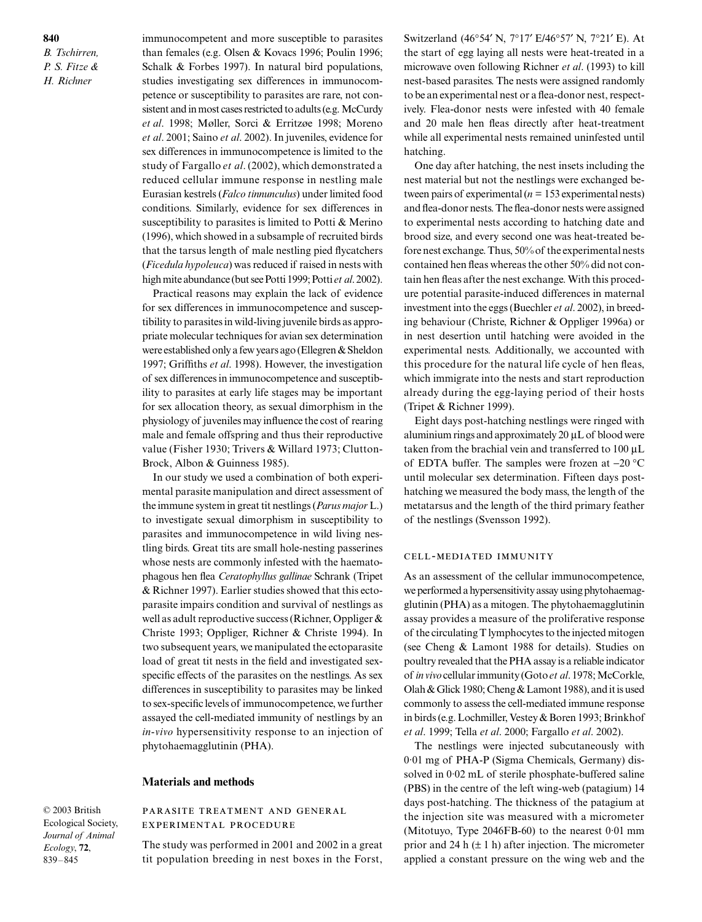*B. Tschirren, P. S. Fitze & H. Richner*

immunocompetent and more susceptible to parasites than females (e.g. Olsen & Kovacs 1996; Poulin 1996; Schalk & Forbes 1997). In natural bird populations, studies investigating sex differences in immunocompetence or susceptibility to parasites are rare, not consistent and in most cases restricted to adults (e.g. McCurdy *et al*. 1998; Møller, Sorci & Erritzøe 1998; Moreno *et al*. 2001; Saino *et al*. 2002). In juveniles, evidence for sex differences in immunocompetence is limited to the study of Fargallo *et al*. (2002), which demonstrated a reduced cellular immune response in nestling male Eurasian kestrels (*Falco tinnunculus*) under limited food conditions. Similarly, evidence for sex differences in susceptibility to parasites is limited to Potti  $&$  Merino (1996), which showed in a subsample of recruited birds that the tarsus length of male nestling pied flycatchers (*Ficedula hypoleuca*) was reduced if raised in nests with high mite abundance (but see Potti 1999; Potti *et al*. 2002).

Practical reasons may explain the lack of evidence for sex differences in immunocompetence and susceptibility to parasites in wild-living juvenile birds as appropriate molecular techniques for avian sex determination were established only a few years ago (Ellegren & Sheldon 1997; Griffiths *et al*. 1998). However, the investigation of sex differences in immunocompetence and susceptibility to parasites at early life stages may be important for sex allocation theory, as sexual dimorphism in the physiology of juveniles may influence the cost of rearing male and female offspring and thus their reproductive value (Fisher 1930; Trivers & Willard 1973; Clutton-Brock, Albon & Guinness 1985).

In our study we used a combination of both experimental parasite manipulation and direct assessment of the immune system in great tit nestlings (*Parus major*L.) to investigate sexual dimorphism in susceptibility to parasites and immunocompetence in wild living nestling birds. Great tits are small hole-nesting passerines whose nests are commonly infested with the haematophagous hen flea *Ceratophyllus gallinae* Schrank (Tripet & Richner 1997). Earlier studies showed that this ectoparasite impairs condition and survival of nestlings as well as adult reproductive success (Richner, Oppliger & Christe 1993; Oppliger, Richner & Christe 1994). In two subsequent years, we manipulated the ectoparasite load of great tit nests in the field and investigated sexspecific effects of the parasites on the nestlings. As sex differences in susceptibility to parasites may be linked to sex-specific levels of immunocompetence, we further assayed the cell-mediated immunity of nestlings by an *in-vivo* hypersensitivity response to an injection of phytohaemagglutinin (PHA).

## **Materials and methods**

© 2003 British Ecological Society, *Journal of Animal Ecology*, **72**, 839–845

PARASITE TREATMENT AND GENERAL EXPERIMENTAL PROCEDURE

The study was performed in 2001 and 2002 in a great tit population breeding in nest boxes in the Forst, Switzerland (46°54′ N, 7°17′ E/46°57′ N, 7°21′ E). At the start of egg laying all nests were heat-treated in a microwave oven following Richner *et al*. (1993) to kill nest-based parasites. The nests were assigned randomly to be an experimental nest or a flea-donor nest, respectively. Flea-donor nests were infested with 40 female and 20 male hen fleas directly after heat-treatment while all experimental nests remained uninfested until hatching.

One day after hatching, the nest insets including the nest material but not the nestlings were exchanged between pairs of experimental  $(n = 153$  experimental nests) and flea-donor nests. The flea-donor nests were assigned to experimental nests according to hatching date and brood size, and every second one was heat-treated before nest exchange. Thus, 50% of the experimental nests contained hen fleas whereas the other 50% did not contain hen fleas after the nest exchange. With this procedure potential parasite-induced differences in maternal investment into the eggs (Buechler *et al*. 2002), in breeding behaviour (Christe, Richner & Oppliger 1996a) or in nest desertion until hatching were avoided in the experimental nests. Additionally, we accounted with this procedure for the natural life cycle of hen fleas, which immigrate into the nests and start reproduction already during the egg-laying period of their hosts (Tripet & Richner 1999).

Eight days post-hatching nestlings were ringed with aluminium rings and approximately 20 µL of blood were taken from the brachial vein and transferred to 100 µL of EDTA buffer. The samples were frozen at −20 °C until molecular sex determination. Fifteen days posthatching we measured the body mass, the length of the metatarsus and the length of the third primary feather of the nestlings (Svensson 1992).

#### CELL-MEDIATED IMMUNITY

As an assessment of the cellular immunocompetence, we performed a hypersensitivity assay using phytohaemagglutinin (PHA) as a mitogen. The phytohaemagglutinin assay provides a measure of the proliferative response of the circulating T lymphocytes to the injected mitogen (see Cheng & Lamont 1988 for details). Studies on poultry revealed that the PHA assay is a reliable indicator of *in vivo*cellular immunity (Goto *et al*. 1978; McCorkle, Olah & Glick 1980; Cheng & Lamont 1988), and it is used commonly to assess the cell-mediated immune response in birds (e.g. Lochmiller, Vestey & Boren 1993; Brinkhof *et al*. 1999; Tella *et al*. 2000; Fargallo *et al*. 2002).

The nestlings were injected subcutaneously with 0·01 mg of PHA-P (Sigma Chemicals, Germany) dissolved in 0·02 mL of sterile phosphate-buffered saline (PBS) in the centre of the left wing-web (patagium) 14 days post-hatching. The thickness of the patagium at the injection site was measured with a micrometer (Mitotuyo, Type 2046FB-60) to the nearest 0·01 mm prior and 24 h  $(\pm 1$  h) after injection. The micrometer applied a constant pressure on the wing web and the

#### **840**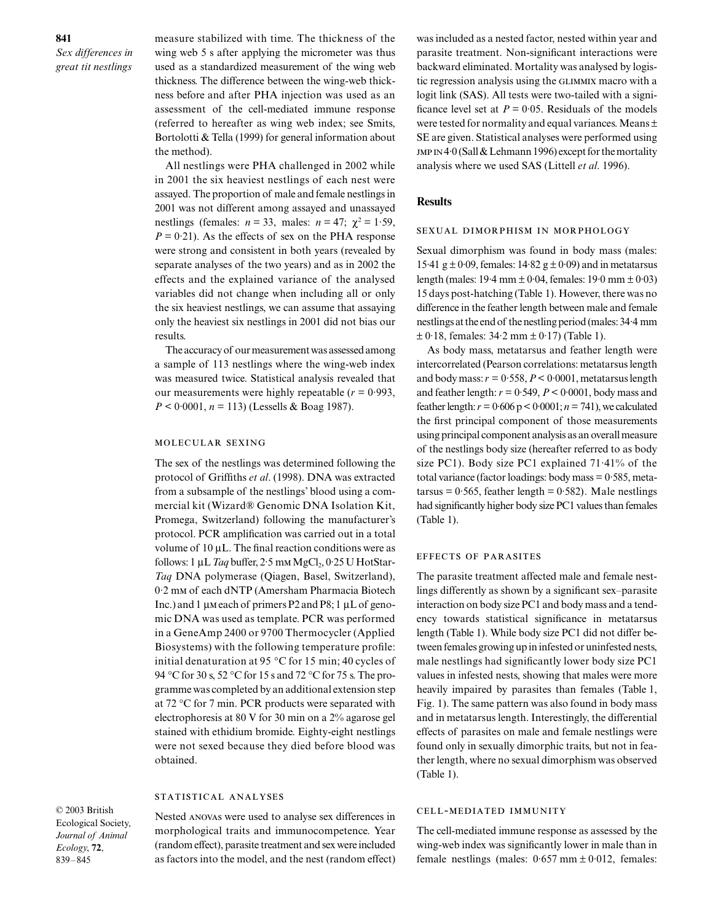**841** *Sex differences in great tit nestlings*

measure stabilized with time. The thickness of the wing web 5 s after applying the micrometer was thus used as a standardized measurement of the wing web thickness. The difference between the wing-web thickness before and after PHA injection was used as an assessment of the cell-mediated immune response (referred to hereafter as wing web index; see Smits, Bortolotti & Tella (1999) for general information about the method).

All nestlings were PHA challenged in 2002 while in 2001 the six heaviest nestlings of each nest were assayed. The proportion of male and female nestlings in 2001 was not different among assayed and unassayed nestlings (females:  $n = 33$ , males:  $n = 47$ ;  $\chi^2 = 1.59$ ,  $P = 0.21$ ). As the effects of sex on the PHA response were strong and consistent in both years (revealed by separate analyses of the two years) and as in 2002 the effects and the explained variance of the analysed variables did not change when including all or only the six heaviest nestlings, we can assume that assaying only the heaviest six nestlings in 2001 did not bias our results.

The accuracy of our measurement was assessed among a sample of 113 nestlings where the wing-web index was measured twice. Statistical analysis revealed that our measurements were highly repeatable  $(r = 0.993)$ , *P* < 0·0001, *n* = 113) (Lessells & Boag 1987).

#### MOLECULAR SEXING

The sex of the nestlings was determined following the protocol of Griffiths *et al*. (1998). DNA was extracted from a subsample of the nestlings' blood using a commercial kit (Wizard® Genomic DNA Isolation Kit, Promega, Switzerland) following the manufacturer's protocol. PCR amplification was carried out in a total volume of  $10 \mu L$ . The final reaction conditions were as follows:  $1 \mu L$  *Taq* buffer,  $2.5 \text{ mm } \text{MgCl}_2$ ,  $0.25 \text{ U HotStar}$ -*Taq* DNA polymerase (Qiagen, Basel, Switzerland), 0.2 mm of each dNTP (Amersham Pharmacia Biotech Inc.) and 1  $\mu$ M each of primers P2 and P8; 1  $\mu$ L of genomic DNA was used as template. PCR was performed in a GeneAmp 2400 or 9700 Thermocycler (Applied Biosystems) with the following temperature profile: initial denaturation at 95 °C for 15 min; 40 cycles of 94 °C for 30 s, 52 °C for 15 s and 72 °C for 75 s. The programme was completed by an additional extension step at 72 °C for 7 min. PCR products were separated with electrophoresis at 80 V for 30 min on a 2% agarose gel stained with ethidium bromide. Eighty-eight nestlings were not sexed because they died before blood was obtained.

#### STATISTICAL ANALYSES

© 2003 British Ecological Society, *Journal of Animal Ecology*, **72**, 839–845

Nested ANOVAS were used to analyse sex differences in morphological traits and immunocompetence. Year (random effect), parasite treatment and sex were included as factors into the model, and the nest (random effect)

was included as a nested factor, nested within year and parasite treatment. Non-significant interactions were backward eliminated. Mortality was analysed by logistic regression analysis using the GLIMMIX macro with a logit link (SAS). All tests were two-tailed with a significance level set at  $P = 0.05$ . Residuals of the models were tested for normality and equal variances. Means  $\pm$ SE are given. Statistical analyses were performed using JMP IN  $4.0$  (Sall & Lehmann 1996) except for the mortality analysis where we used SAS (Littell *et al*. 1996).

#### **Results**

#### SEXUAL DIMORPHISM IN MORPHOLOGY

Sexual dimorphism was found in body mass (males: 15·41 g  $\pm$  0·09, females: 14·82 g  $\pm$  0·09) and in metatarsus length (males:  $19.4$  mm  $\pm 0.04$ , females:  $19.0$  mm  $\pm 0.03$ ) 15 days post-hatching (Table 1). However, there was no difference in the feather length between male and female nestlings at the end of the nestling period (males: 34·4 mm  $\pm 0.18$ , females:  $34.2$  mm  $\pm 0.17$ ) (Table 1).

As body mass, metatarsus and feather length were intercorrelated (Pearson correlations: metatarsus length and body mass:  $r = 0.558$ ,  $P < 0.0001$ , metatarsus length and feather length:  $r = 0.549$ ,  $P \le 0.0001$ , body mass and feather length:  $r = 0.606$  p <  $0.0001$ ;  $n = 741$ ), we calculated the first principal component of those measurements using principal component analysis as an overall measure of the nestlings body size (hereafter referred to as body size PC1). Body size PC1 explained 71·41% of the total variance (factor loadings: body mass = 0·585, metatarsus =  $0.565$ , feather length =  $0.582$ ). Male nestlings had significantly higher body size PC1 values than females (Table 1).

#### **EFFECTS OF PARASITES**

The parasite treatment affected male and female nestlings differently as shown by a significant sex–parasite interaction on body size PC1 and body mass and a tendency towards statistical significance in metatarsus length (Table 1). While body size PC1 did not differ between females growing up in infested or uninfested nests, male nestlings had significantly lower body size PC1 values in infested nests, showing that males were more heavily impaired by parasites than females (Table 1, Fig. 1). The same pattern was also found in body mass and in metatarsus length. Interestingly, the differential effects of parasites on male and female nestlings were found only in sexually dimorphic traits, but not in feather length, where no sexual dimorphism was observed (Table 1).

#### CELL-MEDIATED IMMUNITY

The cell-mediated immune response as assessed by the wing-web index was significantly lower in male than in female nestlings (males:  $0.657$  mm  $\pm 0.012$ , females: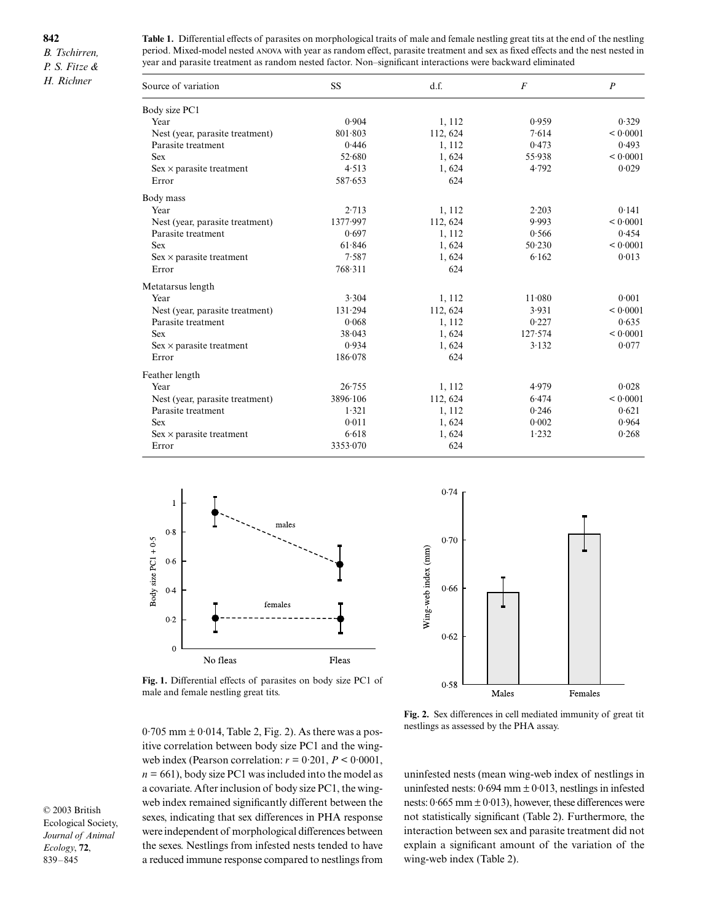*B. Tschirren, P. S. Fitze & H. Richner*

**Table 1.** Differential effects of parasites on morphological traits of male and female nestling great tits at the end of the nestling period. Mixed-model nested ANOVA with year as random effect, parasite treatment and sex as fixed effects and the nest nested in year and parasite treatment as random nested factor. Non–significant interactions were backward eliminated

| Body size PC1<br>0.904<br>1, 112<br>0.959<br>Year<br>Nest (year, parasite treatment)<br>801.803<br>112, 624<br>7.614<br>Parasite treatment<br>0.446<br>1, 112<br>0.473<br>1,624<br><b>Sex</b><br>52.680<br>55.938<br>4.513<br>4.792<br>$Sex \times parasite$ treatment<br>1,624<br>Error<br>587.653<br>624<br>Body mass<br>Year<br>2.713<br>1, 112<br>2.203<br>Nest (year, parasite treatment)<br>1377.997<br>112, 624<br>9.993<br>0.697<br>Parasite treatment<br>1, 112<br>0.566<br>61.846<br>1,624<br>50.230<br><b>Sex</b><br>7.587<br>$Sex \times parasite$ treatment<br>6.162<br>1,624<br>624<br>Error<br>768.311<br>Metatarsus length<br>Year<br>3.304<br>11.080<br>1, 112<br>Nest (year, parasite treatment)<br>131.294<br>112, 624<br>3.931<br>0.068<br>Parasite treatment<br>1, 112<br>0.227<br><b>Sex</b><br>38.043<br>1,624<br>127.574<br>0.934<br>$Sex \times parasite$ treatment<br>1,624<br>3.132<br>Error<br>186.078<br>624<br>Feather length<br>26.755<br>4.979<br>Year<br>1, 112 | Source of variation             | <b>SS</b> | d.f.     | $\overline{F}$ | $\boldsymbol{P}$ |
|--------------------------------------------------------------------------------------------------------------------------------------------------------------------------------------------------------------------------------------------------------------------------------------------------------------------------------------------------------------------------------------------------------------------------------------------------------------------------------------------------------------------------------------------------------------------------------------------------------------------------------------------------------------------------------------------------------------------------------------------------------------------------------------------------------------------------------------------------------------------------------------------------------------------------------------------------------------------------------------------------|---------------------------------|-----------|----------|----------------|------------------|
|                                                                                                                                                                                                                                                                                                                                                                                                                                                                                                                                                                                                                                                                                                                                                                                                                                                                                                                                                                                                  |                                 |           |          |                |                  |
|                                                                                                                                                                                                                                                                                                                                                                                                                                                                                                                                                                                                                                                                                                                                                                                                                                                                                                                                                                                                  |                                 |           |          |                | 0.329            |
|                                                                                                                                                                                                                                                                                                                                                                                                                                                                                                                                                                                                                                                                                                                                                                                                                                                                                                                                                                                                  |                                 |           |          |                | < 0.0001         |
|                                                                                                                                                                                                                                                                                                                                                                                                                                                                                                                                                                                                                                                                                                                                                                                                                                                                                                                                                                                                  |                                 |           |          |                | 0.493            |
|                                                                                                                                                                                                                                                                                                                                                                                                                                                                                                                                                                                                                                                                                                                                                                                                                                                                                                                                                                                                  |                                 |           |          |                | < 0.0001         |
|                                                                                                                                                                                                                                                                                                                                                                                                                                                                                                                                                                                                                                                                                                                                                                                                                                                                                                                                                                                                  |                                 |           |          |                | 0.029            |
|                                                                                                                                                                                                                                                                                                                                                                                                                                                                                                                                                                                                                                                                                                                                                                                                                                                                                                                                                                                                  |                                 |           |          |                |                  |
|                                                                                                                                                                                                                                                                                                                                                                                                                                                                                                                                                                                                                                                                                                                                                                                                                                                                                                                                                                                                  |                                 |           |          |                |                  |
|                                                                                                                                                                                                                                                                                                                                                                                                                                                                                                                                                                                                                                                                                                                                                                                                                                                                                                                                                                                                  |                                 |           |          |                | 0.141            |
|                                                                                                                                                                                                                                                                                                                                                                                                                                                                                                                                                                                                                                                                                                                                                                                                                                                                                                                                                                                                  |                                 |           |          |                | < 0.0001         |
|                                                                                                                                                                                                                                                                                                                                                                                                                                                                                                                                                                                                                                                                                                                                                                                                                                                                                                                                                                                                  |                                 |           |          |                | 0.454            |
|                                                                                                                                                                                                                                                                                                                                                                                                                                                                                                                                                                                                                                                                                                                                                                                                                                                                                                                                                                                                  |                                 |           |          |                | < 0.0001         |
|                                                                                                                                                                                                                                                                                                                                                                                                                                                                                                                                                                                                                                                                                                                                                                                                                                                                                                                                                                                                  |                                 |           |          |                | 0.013            |
|                                                                                                                                                                                                                                                                                                                                                                                                                                                                                                                                                                                                                                                                                                                                                                                                                                                                                                                                                                                                  |                                 |           |          |                |                  |
|                                                                                                                                                                                                                                                                                                                                                                                                                                                                                                                                                                                                                                                                                                                                                                                                                                                                                                                                                                                                  |                                 |           |          |                |                  |
|                                                                                                                                                                                                                                                                                                                                                                                                                                                                                                                                                                                                                                                                                                                                                                                                                                                                                                                                                                                                  |                                 |           |          |                | 0.001            |
|                                                                                                                                                                                                                                                                                                                                                                                                                                                                                                                                                                                                                                                                                                                                                                                                                                                                                                                                                                                                  |                                 |           |          |                | < 0.0001         |
|                                                                                                                                                                                                                                                                                                                                                                                                                                                                                                                                                                                                                                                                                                                                                                                                                                                                                                                                                                                                  |                                 |           |          |                | 0.635            |
|                                                                                                                                                                                                                                                                                                                                                                                                                                                                                                                                                                                                                                                                                                                                                                                                                                                                                                                                                                                                  |                                 |           |          |                | < 0.0001         |
|                                                                                                                                                                                                                                                                                                                                                                                                                                                                                                                                                                                                                                                                                                                                                                                                                                                                                                                                                                                                  |                                 |           |          |                | 0.077            |
|                                                                                                                                                                                                                                                                                                                                                                                                                                                                                                                                                                                                                                                                                                                                                                                                                                                                                                                                                                                                  |                                 |           |          |                |                  |
|                                                                                                                                                                                                                                                                                                                                                                                                                                                                                                                                                                                                                                                                                                                                                                                                                                                                                                                                                                                                  |                                 |           |          |                |                  |
|                                                                                                                                                                                                                                                                                                                                                                                                                                                                                                                                                                                                                                                                                                                                                                                                                                                                                                                                                                                                  |                                 |           |          |                | 0.028            |
|                                                                                                                                                                                                                                                                                                                                                                                                                                                                                                                                                                                                                                                                                                                                                                                                                                                                                                                                                                                                  | Nest (year, parasite treatment) | 3896.106  | 112, 624 | 6.474          | < 0.0001         |
| Parasite treatment<br>1.321<br>1, 112<br>0.246                                                                                                                                                                                                                                                                                                                                                                                                                                                                                                                                                                                                                                                                                                                                                                                                                                                                                                                                                   |                                 |           |          |                | 0.621            |
| 0.011<br><b>Sex</b><br>1,624<br>0.002                                                                                                                                                                                                                                                                                                                                                                                                                                                                                                                                                                                                                                                                                                                                                                                                                                                                                                                                                            |                                 |           |          |                | 0.964            |
| 6.618<br>1,624<br>1.232<br>$Sex \times parasite$ treatment                                                                                                                                                                                                                                                                                                                                                                                                                                                                                                                                                                                                                                                                                                                                                                                                                                                                                                                                       |                                 |           |          |                | 0.268            |
| 3353.070<br>624<br>Error                                                                                                                                                                                                                                                                                                                                                                                                                                                                                                                                                                                                                                                                                                                                                                                                                                                                                                                                                                         |                                 |           |          |                |                  |



**Fig. 1.** Differential effects of parasites on body size PC1 of male and female nestling great tits.



 $0.705$  mm  $\pm 0.014$ , Table 2, Fig. 2). As there was a positive correlation between body size PC1 and the wingweb index (Pearson correlation:  $r = 0.201$ ,  $P \le 0.0001$ ,  $n = 661$ , body size PC1 was included into the model as a covariate. After inclusion of body size PC1, the wingweb index remained significantly different between the sexes, indicating that sex differences in PHA response were independent of morphological differences between the sexes. Nestlings from infested nests tended to have a reduced immune response compared to nestlings from **Fig. 2.** Sex differences in cell mediated immunity of great tit nestlings as assessed by the PHA assay.

uninfested nests (mean wing-web index of nestlings in uninfested nests:  $0.694$  mm  $\pm 0.013$ , nestlings in infested nests:  $0.665$  mm  $\pm 0.013$ ), however, these differences were not statistically significant (Table 2). Furthermore, the interaction between sex and parasite treatment did not explain a significant amount of the variation of the wing-web index (Table 2).

© 2003 British Ecological Society, *Journal of Animal Ecology*, **72**, 839–845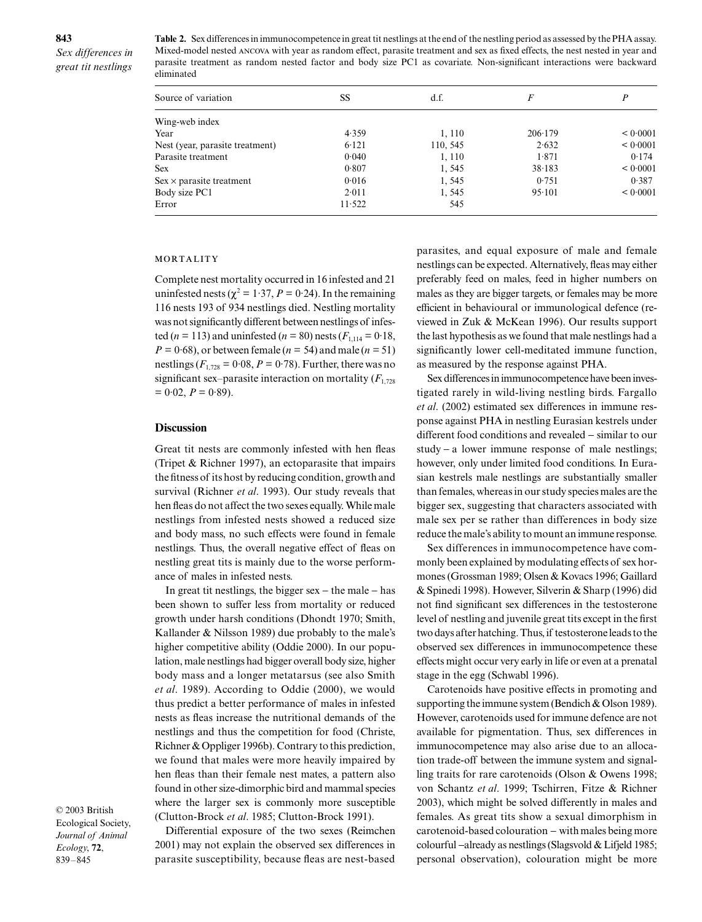**Table 2.** Sex differences in immunocompetence in great tit nestlings at the end of the nestling period as assessed by the PHA assay. Mixed-model nested ANCOVA with year as random effect, parasite treatment and sex as fixed effects, the nest nested in year and parasite treatment as random nested factor and body size PC1 as covariate. Non-significant interactions were backward eliminated

| Source of variation             | SS     | d.f.     | F               | $\boldsymbol{P}$ |
|---------------------------------|--------|----------|-----------------|------------------|
| Wing-web index                  |        |          |                 |                  |
| Year                            | 4.359  | 1, 110   | $206 \cdot 179$ | < 0.0001         |
| Nest (year, parasite treatment) | 6.121  | 110, 545 | 2.632           | < 0.0001         |
| Parasite treatment              | 0.040  | 1, 110   | 1.871           | 0.174            |
| <b>Sex</b>                      | 0.807  | 1,545    | 38.183          | < 0.0001         |
| $Sex \times parasite$ treatment | 0.016  | 1,545    | 0.751           | 0.387            |
| Body size PC1                   | 2.011  | 1,545    | 95.101          | < 0.0001         |
| Error                           | 11.522 | 545      |                 |                  |

## MORTALITY

Complete nest mortality occurred in 16 infested and 21 uninfested nests ( $\chi^2 = 1.37$ ,  $P = 0.24$ ). In the remaining 116 nests 193 of 934 nestlings died. Nestling mortality was not significantly different between nestlings of infested (*n* = 113) and uninfested (*n* = 80) nests ( $F_{1,114}$  = 0.18,  $P = 0.68$ , or between female ( $n = 54$ ) and male ( $n = 51$ ) nestlings  $(F_{1,728} = 0.08, P = 0.78)$ . Further, there was no significant sex–parasite interaction on mortality  $(F_{1,728})$  $= 0.02, P = 0.89$ .

## **Discussion**

Great tit nests are commonly infested with hen fleas (Tripet & Richner 1997), an ectoparasite that impairs the fitness of its host by reducing condition, growth and survival (Richner *et al*. 1993). Our study reveals that hen fleas do not affect the two sexes equally. While male nestlings from infested nests showed a reduced size and body mass, no such effects were found in female nestlings. Thus, the overall negative effect of fleas on nestling great tits is mainly due to the worse performance of males in infested nests.

In great tit nestlings, the bigger sex − the male − has been shown to suffer less from mortality or reduced growth under harsh conditions (Dhondt 1970; Smith, Kallander & Nilsson 1989) due probably to the male's higher competitive ability (Oddie 2000). In our population, male nestlings had bigger overall body size, higher body mass and a longer metatarsus (see also Smith *et al*. 1989). According to Oddie (2000), we would thus predict a better performance of males in infested nests as fleas increase the nutritional demands of the nestlings and thus the competition for food (Christe, Richner & Oppliger 1996b). Contrary to this prediction, we found that males were more heavily impaired by hen fleas than their female nest mates, a pattern also found in other size-dimorphic bird and mammal species where the larger sex is commonly more susceptible (Clutton-Brock *et al*. 1985; Clutton-Brock 1991).

© 2003 British Ecological Society, *Journal of Animal Ecology*, **72**, 839–845

Differential exposure of the two sexes (Reimchen 2001) may not explain the observed sex differences in parasite susceptibility, because fleas are nest-based

parasites, and equal exposure of male and female nestlings can be expected. Alternatively, fleas may either preferably feed on males, feed in higher numbers on males as they are bigger targets, or females may be more efficient in behavioural or immunological defence (reviewed in Zuk & McKean 1996). Our results support the last hypothesis as we found that male nestlings had a significantly lower cell-meditated immune function, as measured by the response against PHA.

Sex differences in immunocompetence have been investigated rarely in wild-living nestling birds. Fargallo *et al*. (2002) estimated sex differences in immune response against PHA in nestling Eurasian kestrels under different food conditions and revealed − similar to our study − a lower immune response of male nestlings; however, only under limited food conditions. In Eurasian kestrels male nestlings are substantially smaller than females, whereas in our study species males are the bigger sex, suggesting that characters associated with male sex per se rather than differences in body size reduce the male's ability to mount an immune response.

Sex differences in immunocompetence have commonly been explained by modulating effects of sex hormones (Grossman 1989; Olsen & Kovacs 1996; Gaillard & Spinedi 1998). However, Silverin & Sharp (1996) did not find significant sex differences in the testosterone level of nestling and juvenile great tits except in the first two days after hatching. Thus, if testosterone leads to the observed sex differences in immunocompetence these effects might occur very early in life or even at a prenatal stage in the egg (Schwabl 1996).

Carotenoids have positive effects in promoting and supporting the immune system (Bendich & Olson 1989). However, carotenoids used for immune defence are not available for pigmentation. Thus, sex differences in immunocompetence may also arise due to an allocation trade-off between the immune system and signalling traits for rare carotenoids (Olson & Owens 1998; von Schantz *et al*. 1999; Tschirren, Fitze & Richner 2003), which might be solved differently in males and females. As great tits show a sexual dimorphism in carotenoid-based colouration − with males being more colourful −already as nestlings (Slagsvold & Lifjeld 1985; personal observation), colouration might be more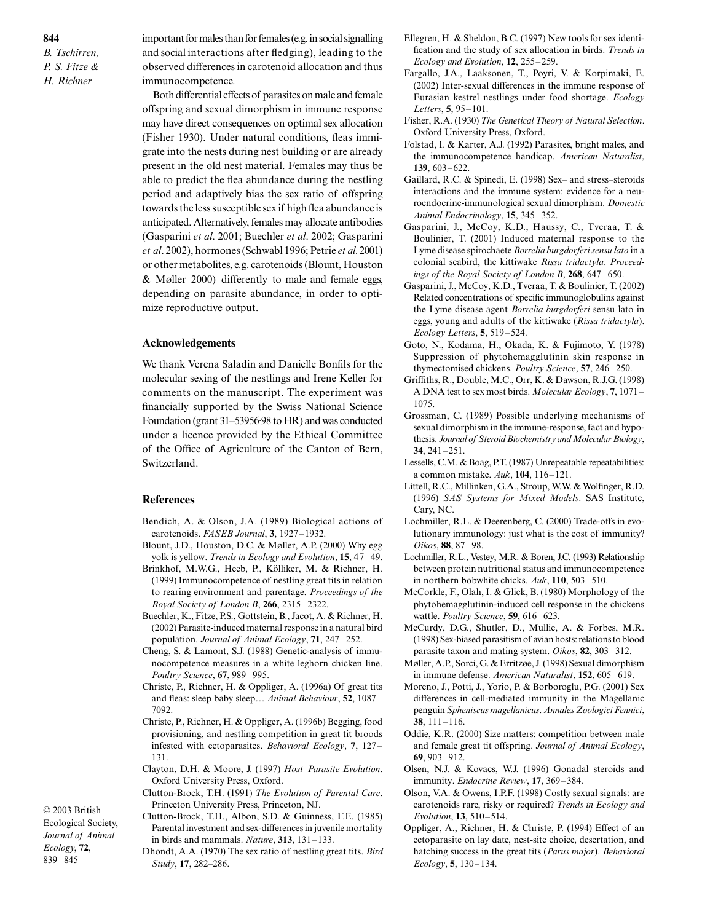*B. Tschirren, P. S. Fitze & H. Richner*

important for males than for females (e.g. in social signalling and social interactions after fledging), leading to the observed differences in carotenoid allocation and thus immunocompetence.

Both differential effects of parasites on male and female offspring and sexual dimorphism in immune response may have direct consequences on optimal sex allocation (Fisher 1930). Under natural conditions, fleas immigrate into the nests during nest building or are already present in the old nest material. Females may thus be able to predict the flea abundance during the nestling period and adaptively bias the sex ratio of offspring towards the less susceptible sex if high flea abundance is anticipated. Alternatively, females may allocate antibodies (Gasparini *et al*. 2001; Buechler *et al*. 2002; Gasparini *et al*. 2002), hormones (Schwabl 1996; Petrie *et al*. 2001) or other metabolites, e.g. carotenoids (Blount, Houston & Møller 2000) differently to male and female eggs, depending on parasite abundance, in order to optimize reproductive output.

#### **Acknowledgements**

We thank Verena Saladin and Danielle Bonfils for the molecular sexing of the nestlings and Irene Keller for comments on the manuscript. The experiment was financially supported by the Swiss National Science Foundation (grant 31–53956·98 to HR) and was conducted under a licence provided by the Ethical Committee of the Office of Agriculture of the Canton of Bern, Switzerland.

#### **References**

- Bendich, A. & Olson, J.A. (1989) Biological actions of carotenoids. *FASEB Journal*, **3**, 1927–1932.
- Blount, J.D., Houston, D.C. & Møller, A.P. (2000) Why egg yolk is yellow. *Trends in Ecology and Evolution*, **15**, 47–49.
- Brinkhof, M.W.G., Heeb, P., Kölliker, M. & Richner, H. (1999) Immunocompetence of nestling great tits in relation to rearing environment and parentage. *Proceedings of the Royal Society of London B*, **266**, 2315–2322.
- Buechler, K., Fitze, P.S., Gottstein, B., Jacot, A. & Richner, H. (2002) Parasite-induced maternal response in a natural bird population. *Journal of Animal Ecology*, **71**, 247–252.
- Cheng, S. & Lamont, S.J. (1988) Genetic-analysis of immunocompetence measures in a white leghorn chicken line. *Poultry Science*, **67**, 989–995.
- Christe, P., Richner, H. & Oppliger, A. (1996a) Of great tits and fleas: sleep baby sleep… *Animal Behaviour*, **52**, 1087– 7092.
- Christe, P., Richner, H. & Oppliger, A. (1996b) Begging, food provisioning, and nestling competition in great tit broods infested with ectoparasites. *Behavioral Ecology*, **7**, 127– 131.
- Clayton, D.H. & Moore, J. (1997) *Host–Parasite Evolution*. Oxford University Press, Oxford.
- Clutton-Brock, T.H. (1991) *The Evolution of Parental Care*. Princeton University Press, Princeton, NJ.

© 2003 British Ecological Society, *Journal of Animal Ecology*, **72**, 839–845

- Clutton-Brock, T.H., Albon, S.D. & Guinness, F.E. (1985) Parental investment and sex-differences in juvenile mortality in birds and mammals. *Nature*, **313**, 131–133.
- Dhondt, A.A. (1970) The sex ratio of nestling great tits. *Bird Study*, **17**, 282–286.
- Ellegren, H. & Sheldon, B.C. (1997) New tools for sex identification and the study of sex allocation in birds. *Trends in Ecology and Evolution*, **12**, 255–259.
- Fargallo, J.A., Laaksonen, T., Poyri, V. & Korpimaki, E. (2002) Inter-sexual differences in the immune response of Eurasian kestrel nestlings under food shortage. *Ecology Letters*, **5**, 95–101.
- Fisher, R.A. (1930) *The Genetical Theory of Natural Selection*. Oxford University Press, Oxford.
- Folstad, I. & Karter, A.J. (1992) Parasites, bright males, and the immunocompetence handicap. *American Naturalist*, **139**, 603–622.
- Gaillard, R.C. & Spinedi, E. (1998) Sex– and stress–steroids interactions and the immune system: evidence for a neuroendocrine-immunological sexual dimorphism. *Domestic Animal Endocrinology*, **15**, 345–352.
- Gasparini, J., McCoy, K.D., Haussy, C., Tveraa, T. & Boulinier, T. (2001) Induced maternal response to the Lyme disease spirochaete *Borrelia burgdorferi sensu lato* in a colonial seabird, the kittiwake *Rissa tridactyla*. *Proceedings of the Royal Society of London B*, **268**, 647–650.
- Gasparini, J., McCoy, K.D., Tveraa, T. & Boulinier, T. (2002) Related concentrations of specific immunoglobulins against the Lyme disease agent *Borrelia burgdorferi* sensu lato in eggs, young and adults of the kittiwake (*Rissa tridactyla*). *Ecology Letters*, **5**, 519–524.
- Goto, N., Kodama, H., Okada, K. & Fujimoto, Y. (1978) Suppression of phytohemagglutinin skin response in thymectomised chickens. *Poultry Science*, **57**, 246–250.
- Griffiths, R., Double, M.C., Orr, K. & Dawson, R.J.G. (1998) A DNA test to sex most birds. *Molecular Ecology*, **7**, 1071– 1075.
- Grossman, C. (1989) Possible underlying mechanisms of sexual dimorphism in the immune-response, fact and hypothesis. *Journal of Steroid Biochemistry and Molecular Biology*, **34**, 241–251.
- Lessells, C.M. & Boag, P.T. (1987) Unrepeatable repeatabilities: a common mistake. *Auk*, **104**, 116–121.
- Littell, R.C., Millinken, G.A., Stroup, W.W. & Wolfinger, R.D. (1996) *SAS Systems for Mixed Models*. SAS Institute, Cary, NC.
- Lochmiller, R.L. & Deerenberg, C. (2000) Trade-offs in evolutionary immunology: just what is the cost of immunity? *Oikos*, **88**, 87–98.
- Lochmiller, R.L., Vestey, M.R. & Boren, J.C. (1993) Relationship between protein nutritional status and immunocompetence in northern bobwhite chicks. *Auk*, **110**, 503–510.
- McCorkle, F., Olah, I. & Glick, B. (1980) Morphology of the phytohemagglutinin-induced cell response in the chickens wattle. *Poultry Science*, **59**, 616–623.
- McCurdy, D.G., Shutler, D., Mullie, A. & Forbes, M.R. (1998) Sex-biased parasitism of avian hosts: relations to blood parasite taxon and mating system. *Oikos*, **82**, 303–312.
- Møller, A.P., Sorci, G. & Erritzøe, J. (1998) Sexual dimorphism in immune defense. *American Naturalist*, **152**, 605–619.
- Moreno, J., Potti, J., Yorio, P. & Borboroglu, P.G. (2001) Sex differences in cell-mediated immunity in the Magellanic penguin *Spheniscus magellanicus*. *Annales Zoologici Fennici*, **38**, 111–116.
- Oddie, K.R. (2000) Size matters: competition between male and female great tit offspring. *Journal of Animal Ecology*, **69**, 903–912.
- Olsen, N.J. & Kovacs, W.J. (1996) Gonadal steroids and immunity. *Endocrine Review*, **17**, 369–384.
- Olson, V.A. & Owens, I.P.F. (1998) Costly sexual signals: are carotenoids rare, risky or required? *Trends in Ecology and Evolution*, **13**, 510–514.
- Oppliger, A., Richner, H. & Christe, P. (1994) Effect of an ectoparasite on lay date, nest-site choice, desertation, and hatching success in the great tits (*Parus major*). *Behavioral Ecology*, **5**, 130–134.

**844**